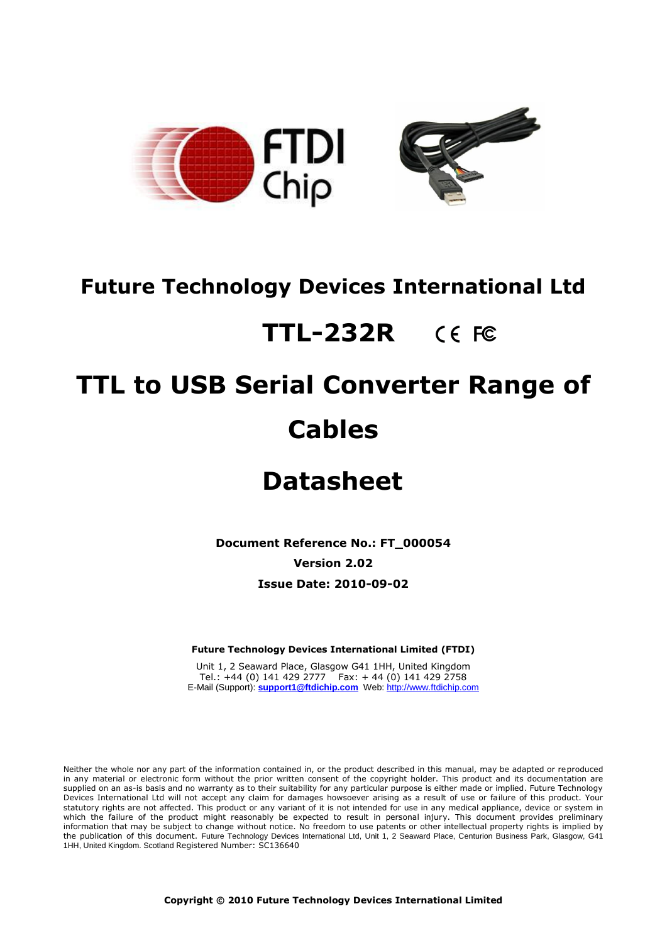

## **Future Technology Devices International Ltd**

## **TTL-232R**

## **TTL to USB Serial Converter Range of Cables**

## **Datasheet**

**Document Reference No.: FT\_000054**

**Version 2.02**

**Issue Date: 2010-09-02**

**Future Technology Devices International Limited (FTDI)**

Unit 1, 2 Seaward Place, Glasgow G41 1HH, United Kingdom Tel.: +44 (0) 141 429 2777 Fax: + 44 (0) 141 429 2758 E-Mail (Support): **support1@ftdichip.com** Web: http://www.ftdichip.com

Neither the whole nor any part of the information contained in, or the product described in this manual, may be adapted or reproduced in any material or electronic form without the prior written consent of the copyright holder. This product and its documentation are supplied on an as-is basis and no warranty as to their suitability for any particular purpose is either made or implied. Future Technology Devices International Ltd will not accept any claim for damages howsoever arising as a result of use or failure of this product. Your statutory rights are not affected. This product or any variant of it is not intended for use in any medical appliance, device or system in which the failure of the product might reasonably be expected to result in personal injury. This document provides preliminary information that may be subject to change without notice. No freedom to use patents or other intellectual property rights is implied by the publication of this document. Future Technology Devices International Ltd, Unit 1, 2 Seaward Place, Centurion Business Park, Glasgow, G41 1HH, United Kingdom. Scotland Registered Number: SC136640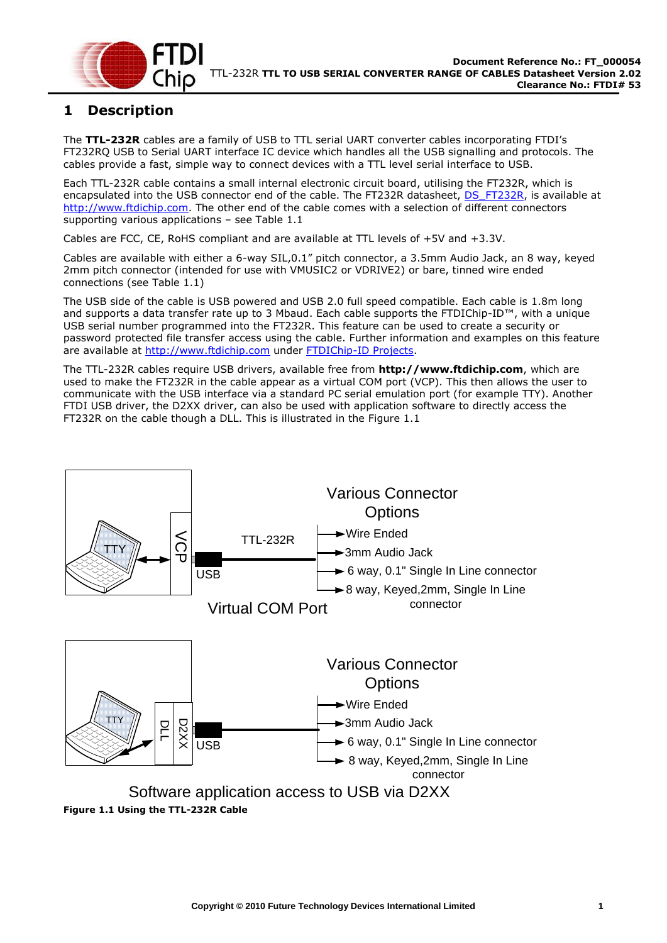

## <span id="page-1-1"></span>**1 Description**

The **TTL-232R** cables are a family of USB to TTL serial UART converter cables incorporating FTDI"s FT232RQ USB to Serial UART interface IC device which handles all the USB signalling and protocols. The cables provide a fast, simple way to connect devices with a TTL level serial interface to USB.

Each TTL-232R cable contains a small internal electronic circuit board, utilising the FT232R, which is encapsulated into the USB connector end of the cable. The FT232R datasheet, [DS\\_FT232R,](http://www.ftdichip.com/Documents/DataSheets/DS_FT232R.pdf) is available at [http://www.ftdichip.com.](http://www.ftdichip.com/) The other end of the cable comes with a selection of different connectors supporting various applications – see [Table 1.1](#page-2-0)

Cables are FCC, CE, RoHS compliant and are available at TTL levels of +5V and +3.3V.

Cables are available with either a 6-way SIL,0.1" pitch connector, a 3.5mm Audio Jack, an 8 way, keyed 2mm pitch connector (intended for use with VMUSIC2 or VDRIVE2) or bare, tinned wire ended connections (see [Table 1.1\)](#page-2-0)

The USB side of the cable is USB powered and USB 2.0 full speed compatible. Each cable is 1.8m long and supports a data transfer rate up to 3 Mbaud. Each cable supports the FTDIChip-ID™, with a unique USB serial number programmed into the FT232R. This feature can be used to create a security or password protected file transfer access using the cable. Further information and examples on this feature are available at [http://www.ftdichip.com](http://www.ftdichip.com/) under [FTDIChip-ID Projects.](http://www.ftdichip.com/Projects/FTDIChip-ID.htm)

The TTL-232R cables require USB drivers, available free from **[http://www.ftdichip.com](http://www.ftdichip.com/)**, which are used to make the FT232R in the cable appear as a virtual COM port (VCP). This then allows the user to communicate with the USB interface via a standard PC serial emulation port (for example TTY). Another FTDI USB driver, the D2XX driver, can also be used with application software to directly access the FT232R on the cable though a DLL. This is illustrated in the [Figure 1.1](#page-1-0)

<span id="page-1-0"></span>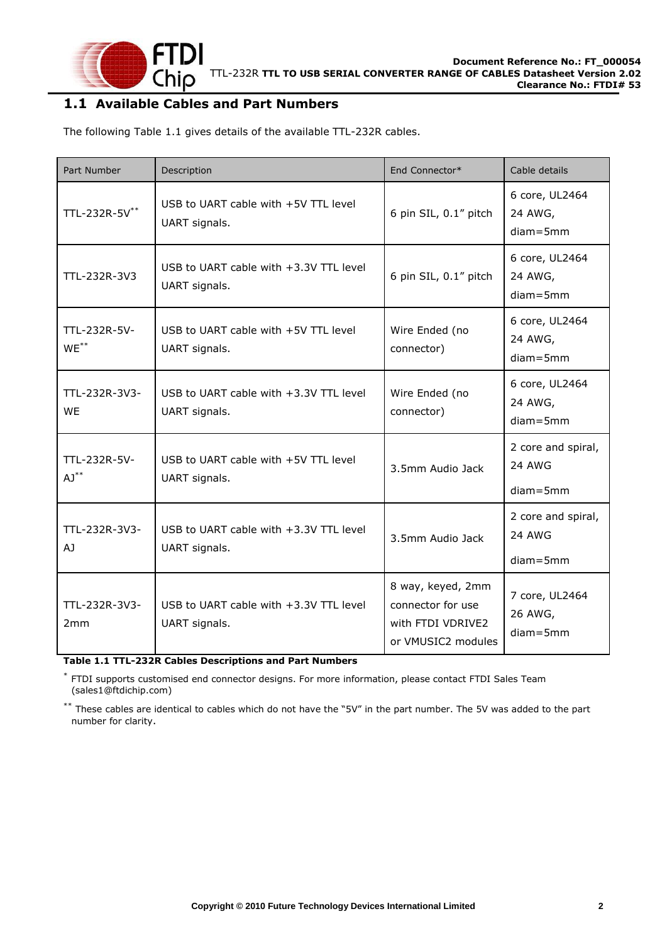

#### <span id="page-2-1"></span>**1.1 Available Cables and Part Numbers**

The following [Table 1.1](#page-2-0) gives details of the available TTL-232R cables.

| Part Number                        | Description                                               | End Connector*                                                                    | Cable details                                |
|------------------------------------|-----------------------------------------------------------|-----------------------------------------------------------------------------------|----------------------------------------------|
| TTL-232R-5V**                      | USB to UART cable with +5V TTL level<br>UART signals.     | 6 pin SIL, 0.1" pitch                                                             | 6 core, UL2464<br>24 AWG,<br>$diam = 5mm$    |
| TTL-232R-3V3                       | USB to UART cable with +3.3V TTL level<br>UART signals.   | 6 pin SIL, 0.1" pitch                                                             | 6 core, UL2464<br>24 AWG,<br>$diam = 5mm$    |
| TTL-232R-5V-<br>$WE$ <sup>**</sup> | USB to UART cable with +5V TTL level<br>UART signals.     | Wire Ended (no<br>connector)                                                      | 6 core, UL2464<br>24 AWG,<br>$diam = 5mm$    |
| TTL-232R-3V3-<br><b>WE</b>         | USB to UART cable with $+3.3V$ TTL level<br>UART signals. | Wire Ended (no<br>connector)                                                      | 6 core, UL2464<br>24 AWG,<br>$diam = 5mm$    |
| TTL-232R-5V-<br>$AJ^{\ast\ast}$    | USB to UART cable with +5V TTL level<br>UART signals.     | 3.5mm Audio Jack                                                                  | 2 core and spiral,<br>24 AWG<br>$diam = 5mm$ |
| TTL-232R-3V3-<br>AJ                | USB to UART cable with +3.3V TTL level<br>UART signals.   | 3.5mm Audio Jack                                                                  | 2 core and spiral,<br>24 AWG<br>$diam = 5mm$ |
| TTL-232R-3V3-<br>2mm               | USB to UART cable with $+3.3V$ TTL level<br>UART signals. | 8 way, keyed, 2mm<br>connector for use<br>with FTDI VDRIVE2<br>or VMUSIC2 modules | 7 core, UL2464<br>26 AWG,<br>$diam = 5mm$    |

<span id="page-2-0"></span>**Table 1.1 TTL-232R Cables Descriptions and Part Numbers**

\* FTDI supports customised end connector designs. For more information, please contact [FTDI Sales Team](mailto:sales1@ftdichip.com) [\(sales1@ftdichip.com\)](mailto:sales1@ftdichip.com)

\*\* These cables are identical to cables which do not have the "5V" in the part number. The 5V was added to the part number for clarity.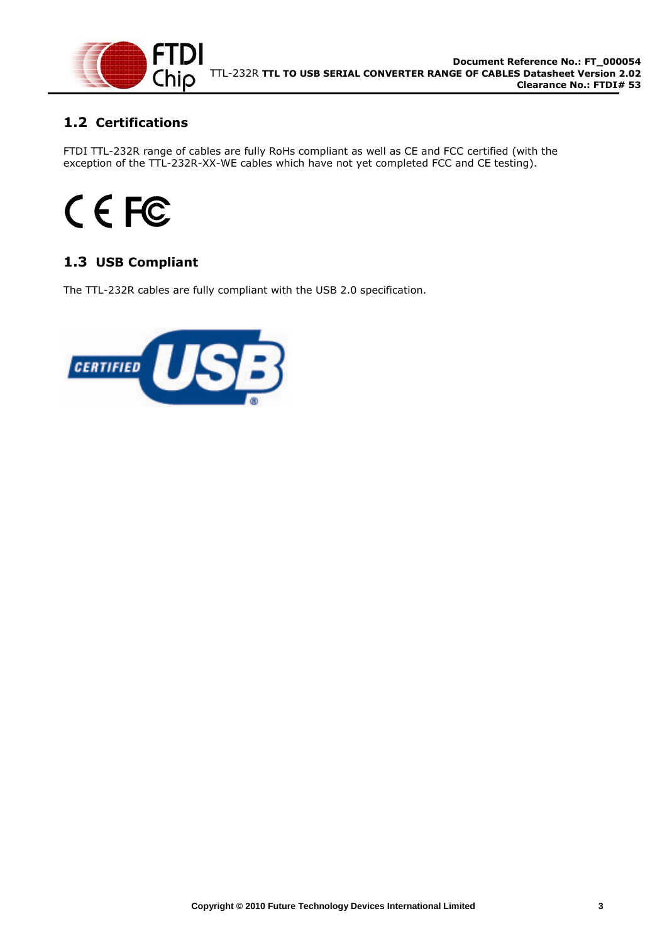

## <span id="page-3-0"></span>**1.2 Certifications**

FTDI TTL-232R range of cables are fully RoHs compliant as well as CE and FCC certified (with the exception of the TTL-232R-XX-WE cables which have not yet completed FCC and CE testing).

# CEFC

## <span id="page-3-1"></span>**1.3 USB Compliant**

<span id="page-3-2"></span>The TTL-232R cables are fully compliant with the USB 2.0 specification.

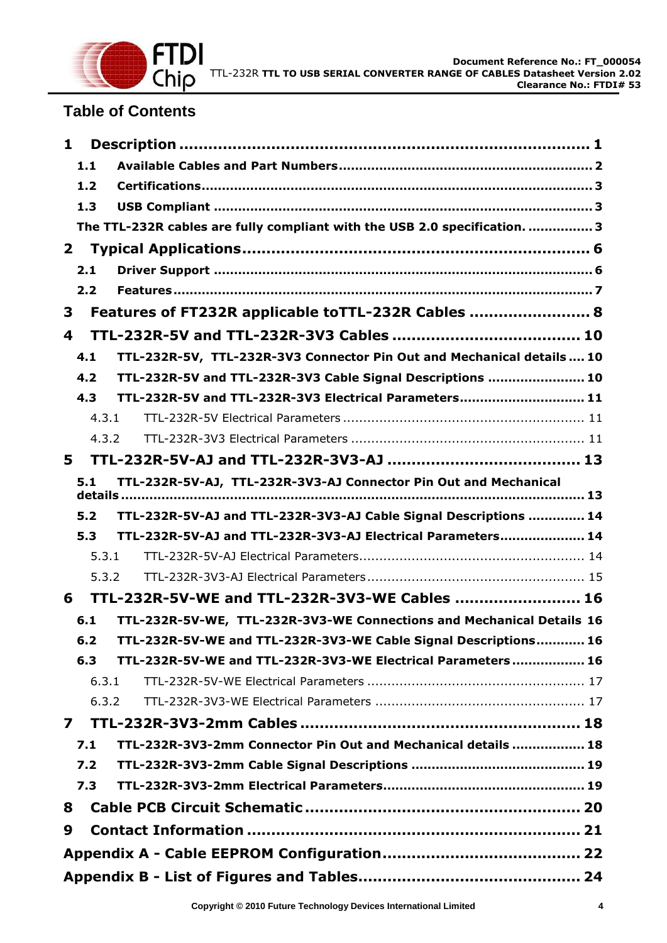

## **Table of Contents**

| 1                       |       |                                                                            |
|-------------------------|-------|----------------------------------------------------------------------------|
|                         | 1.1   |                                                                            |
|                         | 1.2   |                                                                            |
|                         | 1.3   |                                                                            |
|                         |       | The TTL-232R cables are fully compliant with the USB 2.0 specification.  3 |
| $\mathbf{2}$            |       |                                                                            |
|                         | 2.1   |                                                                            |
|                         | 2.2   |                                                                            |
| 3                       |       | Features of FT232R applicable toTTL-232R Cables  8                         |
| 4                       |       |                                                                            |
| 4.1                     |       | TTL-232R-5V, TTL-232R-3V3 Connector Pin Out and Mechanical details  10     |
|                         | 4.2   | TTL-232R-5V and TTL-232R-3V3 Cable Signal Descriptions  10                 |
|                         | 4.3   | TTL-232R-5V and TTL-232R-3V3 Electrical Parameters 11                      |
|                         | 4.3.1 |                                                                            |
|                         | 4.3.2 |                                                                            |
| 5                       |       |                                                                            |
|                         | 5.1   | TTL-232R-5V-AJ, TTL-232R-3V3-AJ Connector Pin Out and Mechanical           |
|                         | 5.2   | TTL-232R-5V-AJ and TTL-232R-3V3-AJ Cable Signal Descriptions  14           |
|                         | 5.3   | TTL-232R-5V-AJ and TTL-232R-3V3-AJ Electrical Parameters 14                |
|                         | 5.3.1 |                                                                            |
|                         | 5.3.2 |                                                                            |
| 6                       |       | TTL-232R-5V-WE and TTL-232R-3V3-WE Cables  16                              |
| 6.1                     |       | TTL-232R-5V-WE, TTL-232R-3V3-WE Connections and Mechanical Details 16      |
|                         | $6.2$ | TTL-232R-5V-WE and TTL-232R-3V3-WE Cable Signal Descriptions 16            |
|                         | 6.3   | TTL-232R-5V-WE and TTL-232R-3V3-WE Electrical Parameters 16                |
|                         | 6.3.1 |                                                                            |
|                         | 6.3.2 |                                                                            |
| $\overline{\mathbf{z}}$ |       |                                                                            |
|                         | 7.1   | TTL-232R-3V3-2mm Connector Pin Out and Mechanical details  18              |
|                         | 7.2   |                                                                            |
|                         | 7.3   |                                                                            |
| 8                       |       |                                                                            |
| 9                       |       |                                                                            |
|                         |       |                                                                            |
|                         |       |                                                                            |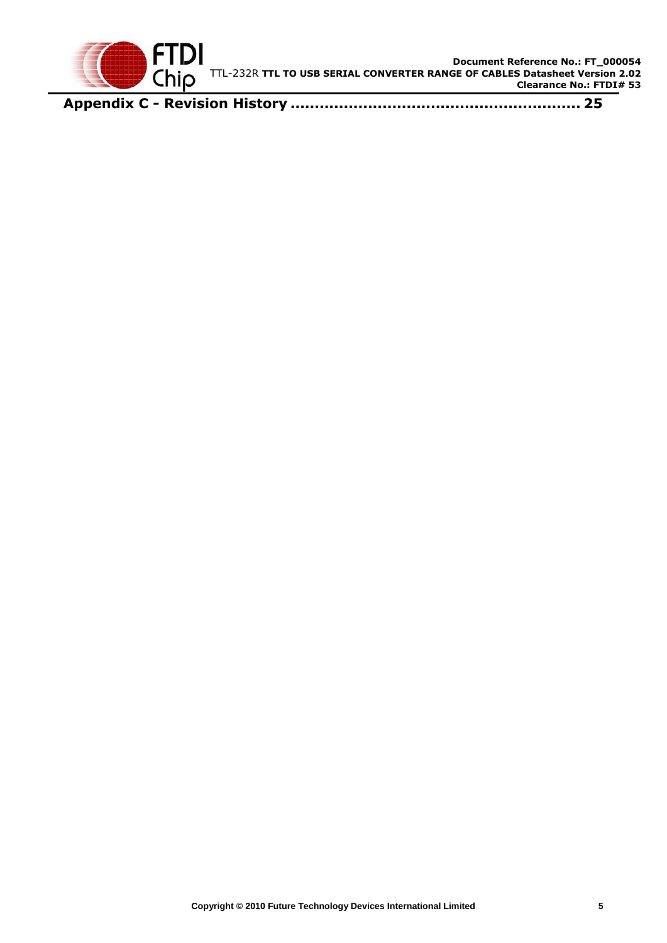

**Appendix C - Revision History [............................................................](#page-25-0) 25**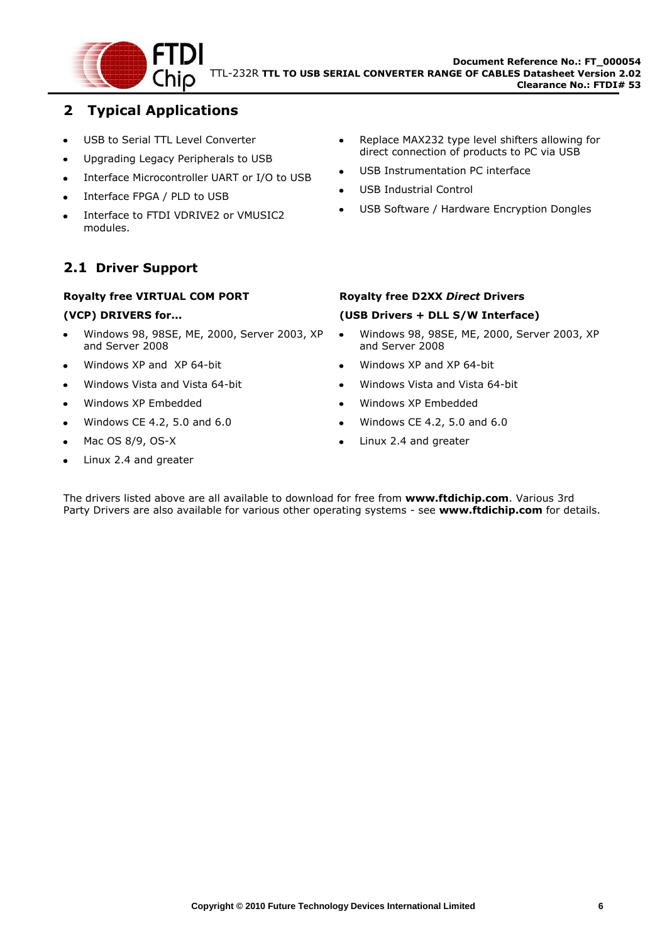

## <span id="page-6-0"></span>**2 Typical Applications**

- USB to Serial TTL Level Converter  $\bullet$
- Upgrading Legacy Peripherals to USB  $\bullet$
- Interface Microcontroller UART or I/O to USB  $\bullet$
- Interface FPGA / PLD to USB  $\bullet$
- Interface to FTDI VDRIVE2 or VMUSIC2 modules.

## <span id="page-6-1"></span>**2.1 Driver Support**

#### **Royalty free VIRTUAL COM PORT**

#### **(VCP) DRIVERS for...**

- Windows 98, 98SE, ME, 2000, Server 2003, XP and Server 2008
- Windows XP and XP 64-bit
- Windows Vista and Vista 64-bit  $\bullet$
- Windows XP Embedded  $\bullet$
- Windows CE 4.2, 5.0 and 6.0  $\bullet$
- Mac OS 8/9, OS-X  $\bullet$
- Linux 2.4 and greater  $\bullet$
- Replace MAX232 type level shifters allowing for  $\bullet$ direct connection of products to PC via USB
- USB Instrumentation PC interface
- USB Industrial Control
- USB Software / Hardware Encryption Dongles

#### **Royalty free D2XX** *Direct* **Drivers**

#### **(USB Drivers + DLL S/W Interface)**

- Windows 98, 98SE, ME, 2000, Server 2003, XP  $\bullet$ and Server 2008
- Windows XP and XP 64-bit
- Windows Vista and Vista 64-bit
- Windows XP Embedded  $\bullet$
- Windows CE 4.2, 5.0 and 6.0  $\bullet$
- Linux 2.4 and greater

The drivers listed above are all available to download for free from **[www.ftdichip.com](http://www.ftdichip.com/)**. Various 3rd Party Drivers are also available for various other operating systems - see **[www.ftdichip.com](http://www.ftdichip.com/)** for details.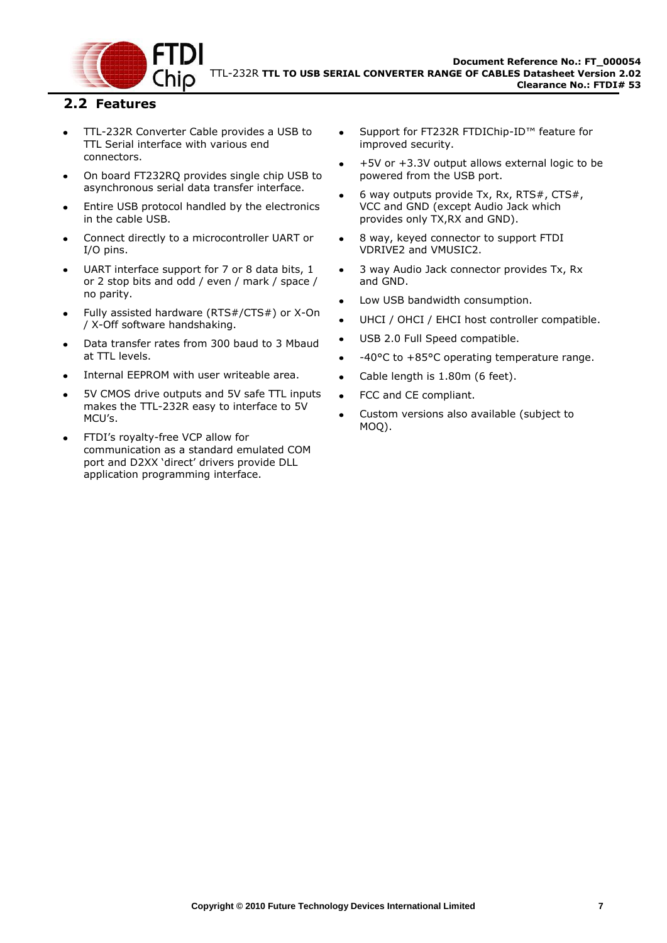

#### <span id="page-7-0"></span>**2.2 Features**

- TTL-232R Converter Cable provides a USB to  $\bullet$ TTL Serial interface with various end connectors.
- On board FT232RQ provides single chip USB to asynchronous serial data transfer interface.
- Entire USB protocol handled by the electronics in the cable USB.
- Connect directly to a microcontroller UART or I/O pins.
- UART interface support for 7 or 8 data bits, 1 or 2 stop bits and odd / even / mark / space / no parity.
- Fully assisted hardware (RTS#/CTS#) or X-On / X-Off software handshaking.
- Data transfer rates from 300 baud to 3 Mbaud at TTL levels.
- Internal EEPROM with user writeable area.
- 5V CMOS drive outputs and 5V safe TTL inputs makes the TTL-232R easy to interface to 5V MCU"s.
- FTDI"s royalty-free VCP allow for communication as a standard emulated COM port and D2XX "direct" drivers provide DLL application programming interface.
- Support for FT232R FTDIChip-ID™ feature for improved security.
- +5V or +3.3V output allows external logic to be powered from the USB port.
- 6 way outputs provide Tx, Rx, RTS#, CTS#, VCC and GND (except Audio Jack which provides only TX,RX and GND).
- 8 way, keyed connector to support FTDI VDRIVE2 and VMUSIC2.
- 3 way Audio Jack connector provides Tx, Rx and GND.
- Low USB bandwidth consumption.
- UHCI / OHCI / EHCI host controller compatible.
- USB 2.0 Full Speed compatible.
- -40°C to +85°C operating temperature range.
- Cable length is 1.80m (6 feet).
- FCC and CE compliant.
- Custom versions also available (subject to MOQ).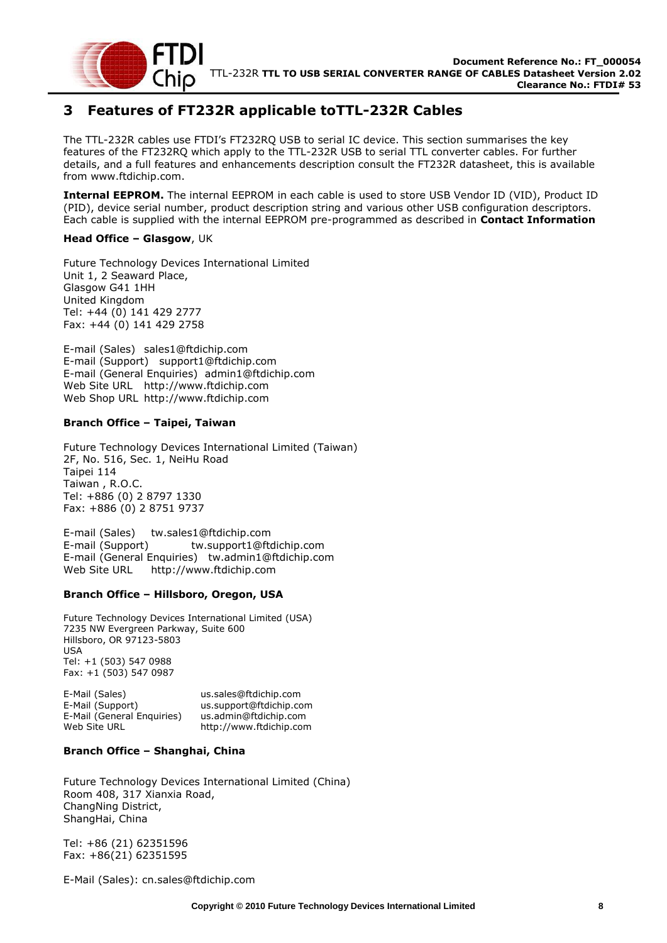

## <span id="page-8-0"></span>**3 Features of FT232R applicable toTTL-232R Cables**

The TTL-232R cables use FTDI"s FT232RQ USB to serial IC device. This section summarises the key features of the FT232RQ which apply to the TTL-232R USB to serial TTL converter cables. For further details, and a full features and enhancements description consult the FT232R datasheet, this is available from [www.ftdichip.com.](file://glaspssv1/General/Engineering/Engineering%20_Documents/DS_TTL-232R/DS_TTL-232R_V200/www.ftdichip.com)

**Internal EEPROM.** The internal EEPROM in each cable is used to store USB Vendor ID (VID), Product ID (PID), device serial number, product description string and various other USB configuration descriptors. Each cable is supplied with the internal EEPROM pre-programmed as described in **[Contact Information](#page-21-0)**

#### **[Head Office](#page-21-0) – Glasgow**, UK

[Future Technology Devices International Limited](#page-21-0) [Unit 1, 2 Seaward Place,](#page-21-0) [Glasgow G41 1HH](#page-21-0) [United Kingdom](#page-21-0) [Tel: +44 \(0\) 141 429 2777](#page-21-0) [Fax: +44 \(0\) 141 429 2758](#page-21-0)

E-mail (Sales) [sales1@ftdichip.com](#page-21-0) [E-mail \(Support\) support1@ftdichip.com](#page-21-0) [E-mail \(General Enquiries\) admin1@ftdichip.com](#page-21-0) Web Site URL [http://www.ftdichip.com](#page-21-0) Web Shop URL [http://www.ftdichip.com](#page-21-0)

#### **Branch Office – [Taipei, Taiwan](#page-21-0)**

[Future Technology Devices International Limited \(Taiwan\)](#page-21-0) [2F, No. 516, Sec. 1, NeiHu Road](#page-21-0) [Taipei 114](#page-21-0) [Taiwan , R.O.C.](#page-21-0) [Tel: +886 \(0\) 2 8797 1330](#page-21-0) [Fax: +886 \(0\) 2 8751 9737](#page-21-0)

[E-mail \(Sales\) tw.sales1@ftdichip.com](#page-21-0) [E-mail \(Support\) tw.support1@ftdichip.com](#page-21-0) [E-mail \(General Enquiries\) tw.admin1@ftdichip.com](#page-21-0) [Web Site URL http://www.ftdichip.com](#page-21-0)

#### **Branch Office – [Hillsboro, Oregon, USA](#page-21-0)**

[Future Technology Devices International Limited \(USA\)](#page-21-0) [7235 NW Evergreen Parkway, Suite 600](#page-21-0) [Hillsboro, OR 97123-5803](#page-21-0) [USA](#page-21-0) [Tel: +1 \(503\) 547 0988](#page-21-0) [Fax: +1 \(503\) 547 0987](#page-21-0)

[E-Mail \(Sales\)](#page-21-0) [us.sales@ftdichip.com](#page-21-0) [E-Mail \(Support\)](#page-21-0) [us.support@ftdichip.com](#page-21-0) [E-Mail \(General Enquiries\)](#page-21-0) [us.admin@ftdichip.com](#page-21-0) [Web Site URL](#page-21-0) [http://www.ftdichip.com](#page-21-0)

#### **Branch Office – [Shanghai, China](#page-21-0)**

[Future Technology Devices International Limited \(China\)](#page-21-0)  [Room 408, 317 Xianxia Road,](#page-21-0) [ChangNing District,](#page-21-0) [ShangHai, China](#page-21-0)

[Tel: +86 \(21\) 62351596](#page-21-0) [Fax: +86\(21\) 62351595](#page-21-0)

[E-Mail \(Sales\): cn.sales@ftdichip.com](#page-21-0)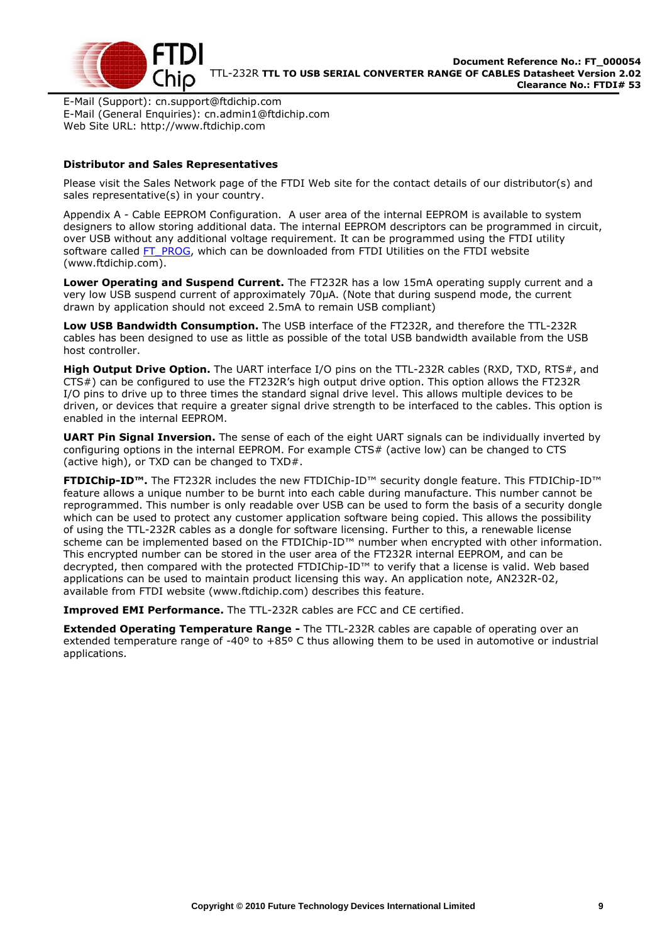

E-Mail (Support): cn.support@ftdichip.com E-Mail (General Enquiries): cn.admin1@ftdichip.com Web Site URL: http://www.ftdichip.com

#### **Distributor and Sales Representatives**

Please visit the Sales Network page of the FTDI Web site for the contact details of our distributor(s) and sales representative(s) in your country.

Appendix A - Cable EEPROM Configuration. A user area of the internal EEPROM is available to system designers to allow storing additional data. The internal EEPROM descriptors can be programmed in circuit, over USB without any additional voltage requirement. It can be programmed using the FTDI utility software called [FT\\_PROG,](http://www.ftdichip.com/Support/Utilities/FT_Prog_v1.9.zip) which can be downloaded from [FTDI Utilities](http://ftdichip.com/Resources/Utilities.htm) on the [FTDI website](http://www.ftdichip.com/) [\(www.ftdichip.com\)](http://www.ftdichip.com/).

**Lower Operating and Suspend Current.** The FT232R has a low 15mA operating supply current and a very low USB suspend current of approximately 70μA. (Note that during suspend mode, the current drawn by application should not exceed 2.5mA to remain USB compliant)

**Low USB Bandwidth Consumption.** The USB interface of the FT232R, and therefore the TTL-232R cables has been designed to use as little as possible of the total USB bandwidth available from the USB host controller.

High Output Drive Option. The UART interface I/O pins on the TTL-232R cables (RXD, TXD, RTS#, and CTS#) can be configured to use the FT232R"s high output drive option. This option allows the FT232R I/O pins to drive up to three times the standard signal drive level. This allows multiple devices to be driven, or devices that require a greater signal drive strength to be interfaced to the cables. This option is enabled in the internal EEPROM.

**UART Pin Signal Inversion.** The sense of each of the eight UART signals can be individually inverted by configuring options in the internal EEPROM. For example CTS# (active low) can be changed to CTS (active high), or TXD can be changed to TXD#.

**FTDIChip-ID™.** The FT232R includes the new FTDIChip-ID™ security dongle feature. This FTDIChip-ID™ feature allows a unique number to be burnt into each cable during manufacture. This number cannot be reprogrammed. This number is only readable over USB can be used to form the basis of a security dongle which can be used to protect any customer application software being copied. This allows the possibility of using the TTL-232R cables as a dongle for software licensing. Further to this, a renewable license scheme can be implemented based on the FTDIChip-ID™ number when encrypted with other information. This encrypted number can be stored in the user area of the FT232R internal EEPROM, and can be decrypted, then compared with the protected FTDIChip-ID™ to verify that a license is valid. Web based applications can be used to maintain product licensing this way. An application note, [AN232R-02,](http://ftdichip.com/Documents/AppNotes/AN232R-02_FT232RChipID.pdf) available from [FTDI website](http://www.ftdichip.com/) [\(www.ftdichip.com\)](http://www.ftdichip.com/) describes this feature.

**Improved EMI Performance.** The TTL-232R cables are FCC and CE certified.

**Extended Operating Temperature Range -** The TTL-232R cables are capable of operating over an extended temperature range of -40º to +85º C thus allowing them to be used in automotive or industrial applications.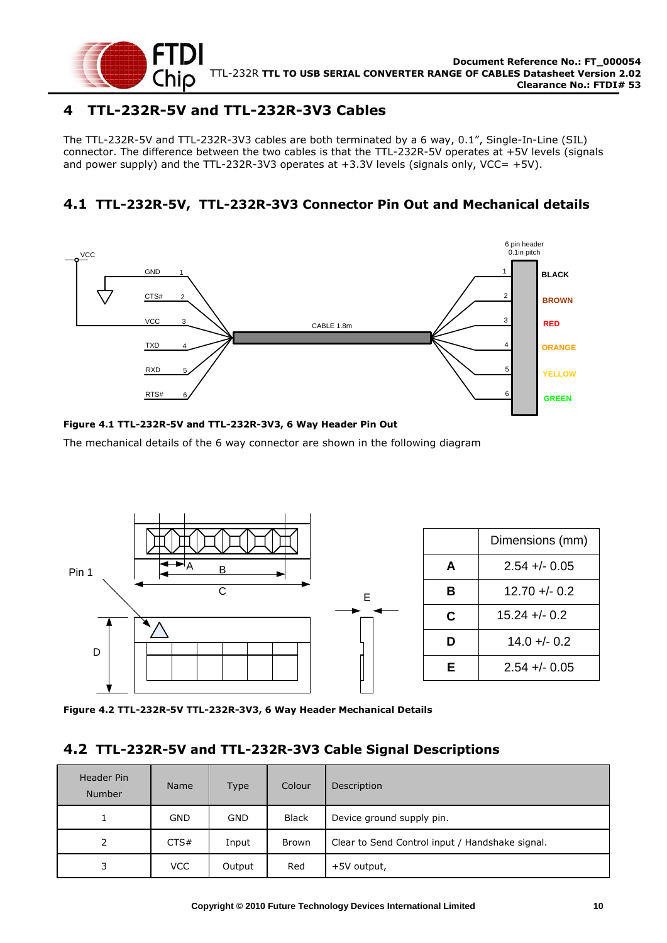

## <span id="page-10-0"></span>**4 TTL-232R-5V and TTL-232R-3V3 Cables**

The TTL-232R-5V and TTL-232R-3V3 cables are both terminated by a 6 way, 0.1", Single-In-Line (SIL) connector. The difference between the two cables is that the TTL-232R-5V operates at +5V levels (signals and power supply) and the TTL-232R-3V3 operates at  $+3.3V$  levels (signals only, VCC=  $+5V$ ).

## <span id="page-10-1"></span>**4.1 TTL-232R-5V, TTL-232R-3V3 Connector Pin Out and Mechanical details**



#### <span id="page-10-3"></span>**Figure 4.1 TTL-232R-5V and TTL-232R-3V3, 6 Way Header Pin Out**

The mechanical details of the 6 way connector are shown in the following diagram



<span id="page-10-4"></span>**Figure 4.2 TTL-232R-5V TTL-232R-3V3, 6 Way Header Mechanical Details**

#### <span id="page-10-2"></span>**4.2 TTL-232R-5V and TTL-232R-3V3 Cable Signal Descriptions**

| <b>Header Pin</b><br><b>Number</b> | <b>Name</b> | Type       | Colour       | Description                                     |
|------------------------------------|-------------|------------|--------------|-------------------------------------------------|
| 1                                  | <b>GND</b>  | <b>GND</b> | <b>Black</b> | Device ground supply pin.                       |
| 2                                  | CTS#        | Input      | Brown        | Clear to Send Control input / Handshake signal. |
| 3                                  | <b>VCC</b>  | Output     | Red          | +5V output,                                     |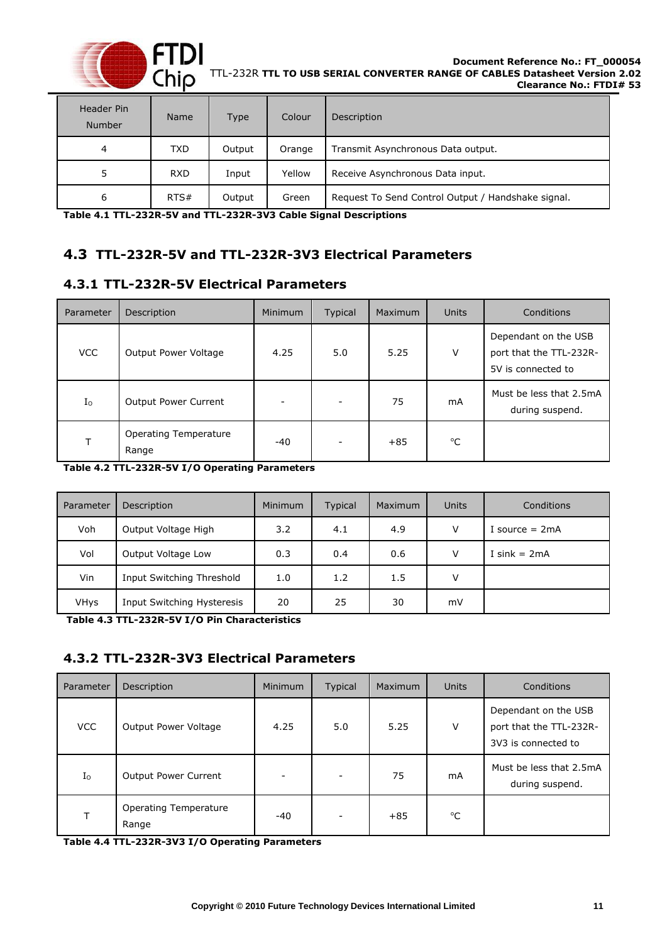

| Header Pin<br><b>Number</b> | <b>Name</b> | <b>Type</b> | Colour | Description                                        |
|-----------------------------|-------------|-------------|--------|----------------------------------------------------|
| 4                           | <b>TXD</b>  | Output      | Orange | Transmit Asynchronous Data output.                 |
| 5                           | <b>RXD</b>  | Input       | Yellow | Receive Asynchronous Data input.                   |
| 6                           | RTS#        | Output      | Green  | Request To Send Control Output / Handshake signal. |

<span id="page-11-3"></span>**Table 4.1 TTL-232R-5V and TTL-232R-3V3 Cable Signal Descriptions**

## <span id="page-11-0"></span>**4.3 TTL-232R-5V and TTL-232R-3V3 Electrical Parameters**

## <span id="page-11-1"></span>**4.3.1 TTL-232R-5V Electrical Parameters**

| Parameter   | Description                           | <b>Minimum</b>           | <b>Typical</b> | Maximum | <b>Units</b> | Conditions                                                            |
|-------------|---------------------------------------|--------------------------|----------------|---------|--------------|-----------------------------------------------------------------------|
| <b>VCC</b>  | Output Power Voltage                  | 4.25                     | 5.0            | 5.25    | V            | Dependant on the USB<br>port that the TTL-232R-<br>5V is connected to |
| $I_{\rm O}$ | <b>Output Power Current</b>           | $\overline{\phantom{m}}$ |                | 75      | mA           | Must be less that 2.5mA<br>during suspend.                            |
| т           | <b>Operating Temperature</b><br>Range | -40                      |                | $+85$   | $^{\circ}C$  |                                                                       |

<span id="page-11-4"></span>**Table 4.2 TTL-232R-5V I/O Operating Parameters**

| Parameter | Description                | <b>Minimum</b> | <b>Typical</b> | <b>Maximum</b> | <b>Units</b> | Conditions       |
|-----------|----------------------------|----------------|----------------|----------------|--------------|------------------|
| Voh       | Output Voltage High        | 3.2            | 4.1            | 4.9            | V            | I source $= 2mA$ |
| Vol       | Output Voltage Low         | 0.3            | 0.4            | 0.6            | V            | I sink = $2mA$   |
| Vin       | Input Switching Threshold  | 1.0            | 1.2            | 1.5            | V            |                  |
| VHys      | Input Switching Hysteresis | 20             | 25             | 30             | mV           |                  |

<span id="page-11-5"></span>**Table 4.3 TTL-232R-5V I/O Pin Characteristics**

## <span id="page-11-2"></span>**4.3.2 TTL-232R-3V3 Electrical Parameters**

| Parameter   | Description                    | Minimum | Typical                  | Maximum | <b>Units</b> | Conditions                                                             |
|-------------|--------------------------------|---------|--------------------------|---------|--------------|------------------------------------------------------------------------|
| <b>VCC</b>  | Output Power Voltage           | 4.25    | 5.0                      | 5.25    | V            | Dependant on the USB<br>port that the TTL-232R-<br>3V3 is connected to |
| $I_{\rm O}$ | <b>Output Power Current</b>    |         | $\overline{\phantom{a}}$ | 75      | mA           | Must be less that 2.5mA<br>during suspend.                             |
|             | Operating Temperature<br>Range | $-40$   | $\overline{\phantom{a}}$ | $+85$   | °C           |                                                                        |

<span id="page-11-6"></span>**Table 4.4 TTL-232R-3V3 I/O Operating Parameters**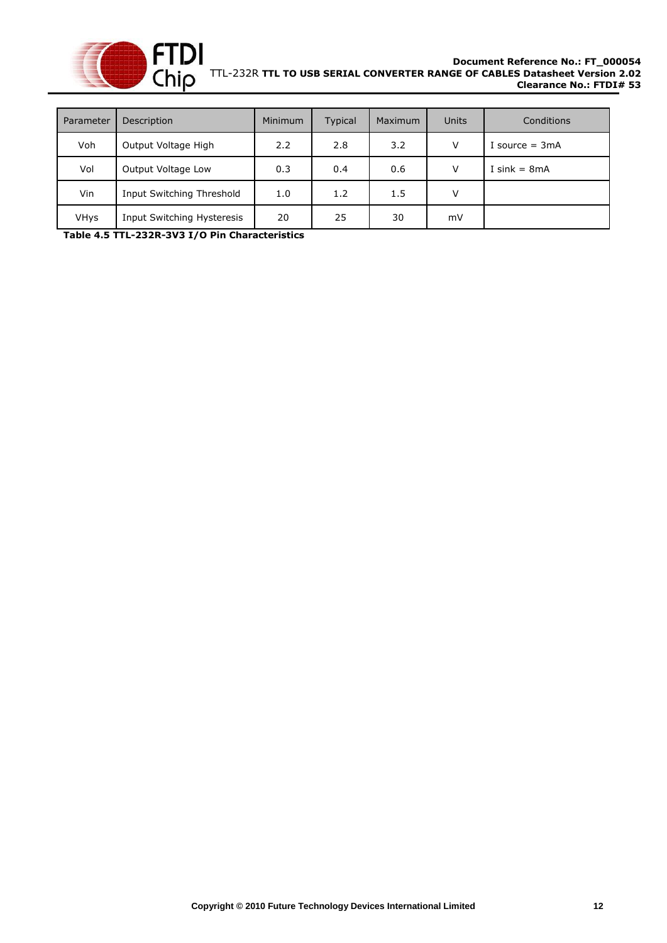

| Parameter   | Description                | <b>Minimum</b> | <b>Typical</b> | <b>Maximum</b> | <b>Units</b> | Conditions       |
|-------------|----------------------------|----------------|----------------|----------------|--------------|------------------|
| Voh         | Output Voltage High        | 2.2            | 2.8            | 3.2            | v            | I source $=$ 3mA |
| Vol         | Output Voltage Low         | 0.3            | 0.4            | 0.6            | v            | I sink = $8mA$   |
| Vin         | Input Switching Threshold  | 1.0            | 1.2            | 1.5            | v            |                  |
| <b>VHys</b> | Input Switching Hysteresis | 20             | 25             | 30             | mV           |                  |

<span id="page-12-0"></span>**Table 4.5 TTL-232R-3V3 I/O Pin Characteristics**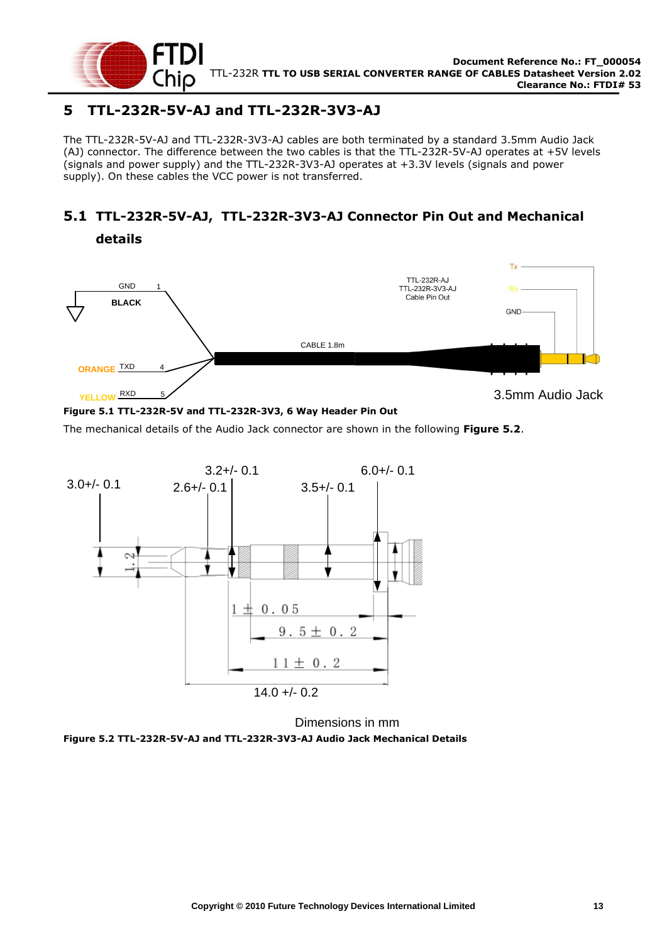

**details**

## <span id="page-13-0"></span>**5 TTL-232R-5V-AJ and TTL-232R-3V3-AJ**

The TTL-232R-5V-AJ and TTL-232R-3V3-AJ cables are both terminated by a standard 3.5mm Audio Jack (AJ) connector. The difference between the two cables is that the TTL-232R-5V-AJ operates at +5V levels (signals and power supply) and the TTL-232R-3V3-AJ operates at +3.3V levels (signals and power supply). On these cables the VCC power is not transferred.

## <span id="page-13-1"></span>**5.1 TTL-232R-5V-AJ, TTL-232R-3V3-AJ Connector Pin Out and Mechanical**



#### <span id="page-13-3"></span>**Figure 5.1 TTL-232R-5V and TTL-232R-3V3, 6 Way Header Pin Out**

The mechanical details of the Audio Jack connector are shown in the following **[Figure 5.2](#page-13-2)**.



Dimensions in mm

<span id="page-13-2"></span>**Figure 5.2 TTL-232R-5V-AJ and TTL-232R-3V3-AJ Audio Jack Mechanical Details**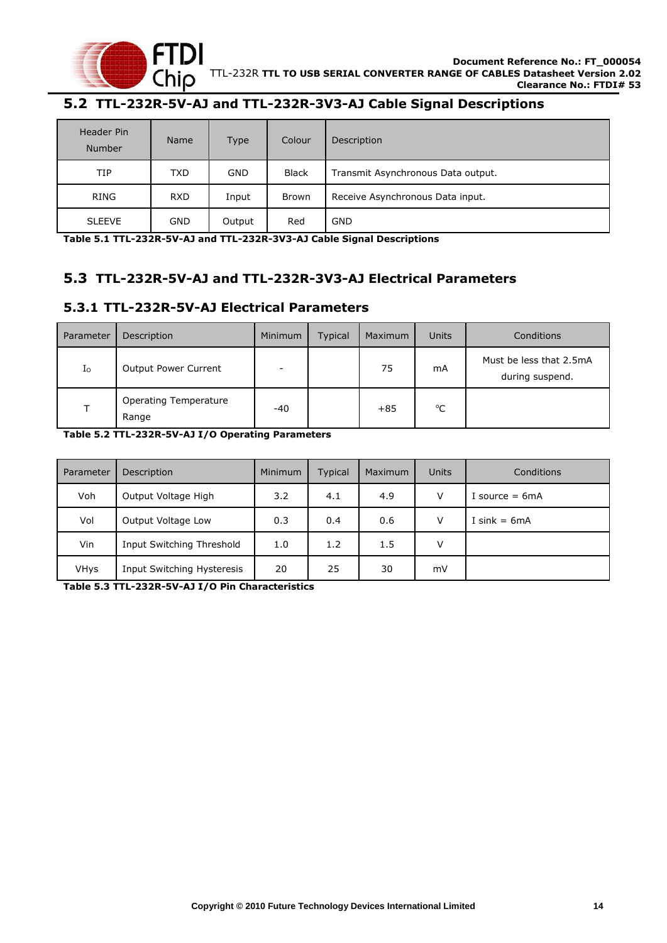

## <span id="page-14-0"></span>**5.2 TTL-232R-5V-AJ and TTL-232R-3V3-AJ Cable Signal Descriptions**

| Header Pin<br>Number | <b>Name</b> | <b>Type</b> | Colour       | Description                        |
|----------------------|-------------|-------------|--------------|------------------------------------|
| TIP                  | <b>TXD</b>  | <b>GND</b>  | <b>Black</b> | Transmit Asynchronous Data output. |
| RING                 | <b>RXD</b>  | Input       | <b>Brown</b> | Receive Asynchronous Data input.   |
| <b>SLEEVE</b>        | <b>GND</b>  | Output      | Red          | <b>GND</b>                         |

<span id="page-14-3"></span>**Table 5.1 TTL-232R-5V-AJ and TTL-232R-3V3-AJ Cable Signal Descriptions**

#### <span id="page-14-1"></span>**5.3 TTL-232R-5V-AJ and TTL-232R-3V3-AJ Electrical Parameters**

#### <span id="page-14-2"></span>**5.3.1 TTL-232R-5V-AJ Electrical Parameters**

| Parameter | Description                    | Minimum | <b>Typical</b> | Maximum | <b>Units</b> | Conditions                                 |
|-----------|--------------------------------|---------|----------------|---------|--------------|--------------------------------------------|
| $I_0$     | Output Power Current           | -       |                | 75      | mA           | Must be less that 2.5mA<br>during suspend. |
| Τ         | Operating Temperature<br>Range | $-40$   |                | $+85$   | $^{\circ}$ C |                                            |

<span id="page-14-4"></span>**Table 5.2 TTL-232R-5V-AJ I/O Operating Parameters**

| Parameter   | Description                | <b>Minimum</b> | Typical | Maximum | Units | Conditions       |
|-------------|----------------------------|----------------|---------|---------|-------|------------------|
| Voh         | Output Voltage High        | 3.2            | 4.1     | 4.9     | V     | I source $= 6mA$ |
| Vol         | Output Voltage Low         | 0.3            | 0.4     | 0.6     | V     | I sink = $6mA$   |
| Vin         | Input Switching Threshold  | 1.0            | 1.2     | 1.5     | v     |                  |
| <b>VHys</b> | Input Switching Hysteresis | 20             | 25      | 30      | mV    |                  |

<span id="page-14-5"></span>**Table 5.3 TTL-232R-5V-AJ I/O Pin Characteristics**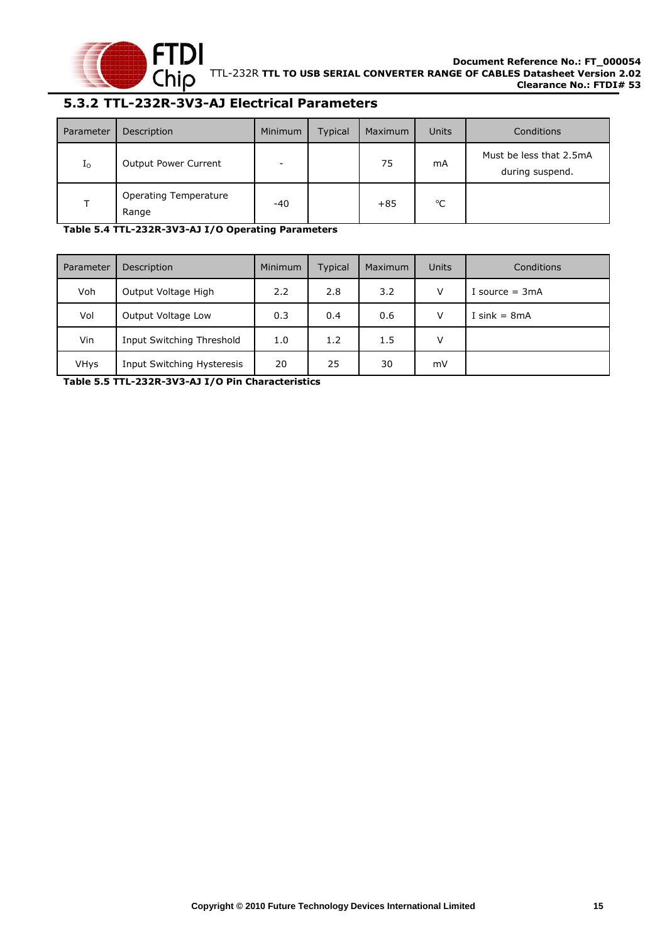

### <span id="page-15-0"></span>**5.3.2 TTL-232R-3V3-AJ Electrical Parameters**

| Parameter      | Description                    | Minimum                  | <b>Typical</b> | Maximum | <b>Units</b> | Conditions                                 |
|----------------|--------------------------------|--------------------------|----------------|---------|--------------|--------------------------------------------|
| I <sub>0</sub> | Output Power Current           | $\overline{\phantom{a}}$ |                | 75      | mA           | Must be less that 2.5mA<br>during suspend. |
|                | Operating Temperature<br>Range | $-40$                    |                | $+85$   | °C           |                                            |

<span id="page-15-1"></span>**Table 5.4 TTL-232R-3V3-AJ I/O Operating Parameters**

| Parameter   | Description                | Minimum | <b>Typical</b> | Maximum | Units  | Conditions       |
|-------------|----------------------------|---------|----------------|---------|--------|------------------|
| Voh         | Output Voltage High        | 2.2     | 2.8            | 3.2     | $\vee$ | I source $= 3mA$ |
| Vol         | Output Voltage Low         | 0.3     | 0.4            | 0.6     | v      | I sink = $8mA$   |
| Vin         | Input Switching Threshold  | 1.0     | 1.2            | 1.5     | v      |                  |
| <b>VHys</b> | Input Switching Hysteresis | 20      | 25             | 30      | mV     |                  |

<span id="page-15-2"></span>**Table 5.5 TTL-232R-3V3-AJ I/O Pin Characteristics**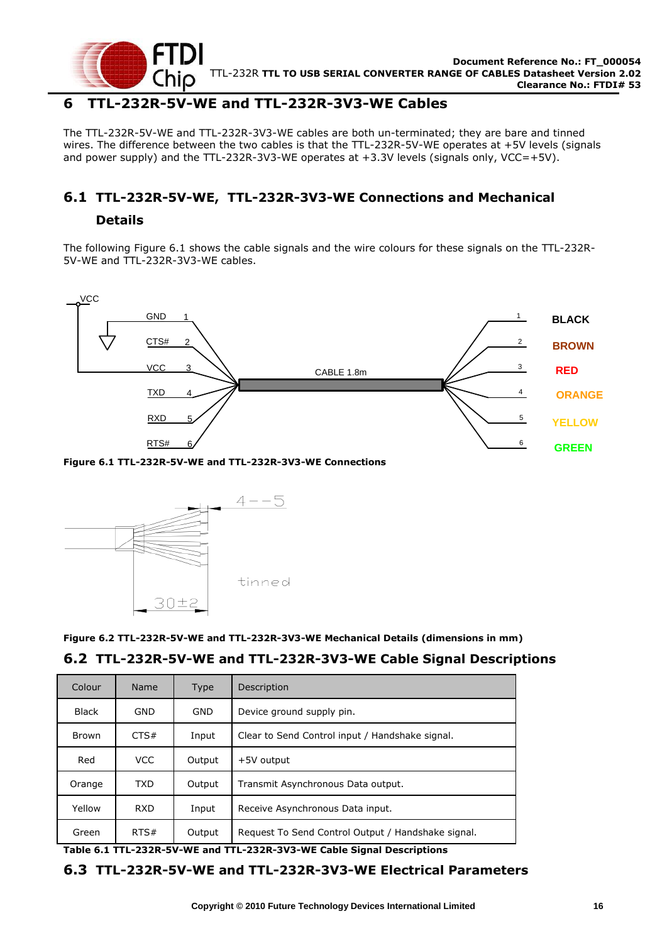

#### <span id="page-16-0"></span>**6 TTL-232R-5V-WE and TTL-232R-3V3-WE Cables**

The TTL-232R-5V-WE and TTL-232R-3V3-WE cables are both un-terminated; they are bare and tinned wires. The difference between the two cables is that the TTL-232R-5V-WE operates at +5V levels (signals and power supply) and the TTL-232R-3V3-WE operates at  $+3.3V$  levels (signals only, VCC=+5V).

## <span id="page-16-1"></span>**6.1 TTL-232R-5V-WE, TTL-232R-3V3-WE Connections and Mechanical**

#### **Details**

The following [Figure 6.1](#page-16-4) shows the cable signals and the wire colours for these signals on the TTL-232R-5V-WE and TTL-232R-3V3-WE cables.



<span id="page-16-4"></span>

<span id="page-16-5"></span>**Figure 6.2 TTL-232R-5V-WE and TTL-232R-3V3-WE Mechanical Details (dimensions in mm)**

#### <span id="page-16-6"></span><span id="page-16-3"></span><span id="page-16-2"></span>**6.2 TTL-232R-5V-WE and TTL-232R-3V3-WE Cable Signal Descriptions**

|                  | CTS#<br><b>VCC</b><br><b>TXD</b><br><b>RXD</b> | $\overline{a}$<br>3<br>4<br>5 | CABLE 1.8m                                                                                    |
|------------------|------------------------------------------------|-------------------------------|-----------------------------------------------------------------------------------------------|
|                  | RTS#                                           | 6                             | Figure 6.1 TTL-232R-5V-WE and TTL-232R-3V3-WE Connections<br>$4 - -5$                         |
|                  |                                                |                               |                                                                                               |
|                  |                                                | さけきょ                          | tinned<br>Figure 6.2 TTL-232R-5V-WE and TTL-232R-3V3-WE Mechanical Details (dimensions in mm) |
| Colour           | Name                                           | <b>Type</b>                   | 6.2 TTL-232R-5V-WE and TTL-232R-3V3-WE Cable Signal Descript<br>Description                   |
| <b>Black</b>     | <b>GND</b>                                     | GND                           | Device ground supply pin.                                                                     |
| <b>Brown</b>     | CTS#                                           | Input                         | Clear to Send Control input / Handshake signal.                                               |
| Red              | <b>VCC</b>                                     | Output                        | +5V output                                                                                    |
|                  | <b>TXD</b>                                     | Output                        | Transmit Asynchronous Data output.                                                            |
| Orange<br>Yellow | <b>RXD</b>                                     | Input                         | Receive Asynchronous Data input.                                                              |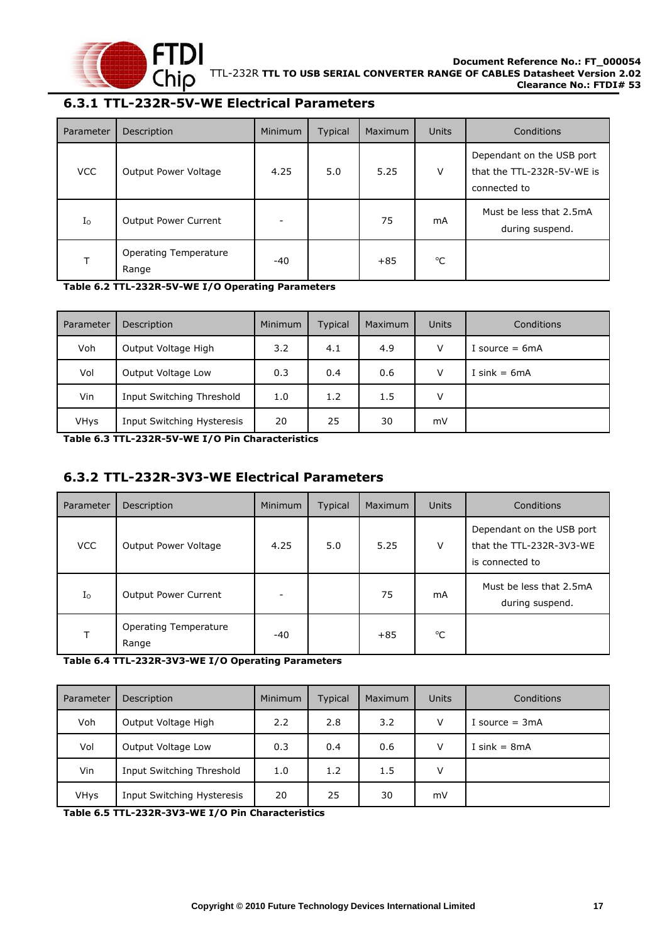

## <span id="page-17-0"></span>**6.3.1 TTL-232R-5V-WE Electrical Parameters**

| Parameter   | Description                           | Minimum | Typical | Maximum | <b>Units</b> | Conditions                                                              |
|-------------|---------------------------------------|---------|---------|---------|--------------|-------------------------------------------------------------------------|
| <b>VCC</b>  | Output Power Voltage                  | 4.25    | 5.0     | 5.25    | $\vee$       | Dependant on the USB port<br>that the TTL-232R-5V-WE is<br>connected to |
| $I_{\rm O}$ | <b>Output Power Current</b>           | -       |         | 75      | mA           | Must be less that 2.5mA<br>during suspend.                              |
|             | <b>Operating Temperature</b><br>Range | $-40$   |         | $+85$   | $^{\circ}C$  |                                                                         |

<span id="page-17-2"></span>**Table 6.2 TTL-232R-5V-WE I/O Operating Parameters**

| Parameter   | Description                | Minimum | <b>Typical</b> | <b>Maximum</b> | <b>Units</b> | Conditions       |
|-------------|----------------------------|---------|----------------|----------------|--------------|------------------|
| Voh         | Output Voltage High        | 3.2     | 4.1            | 4.9            | V            | I source $= 6mA$ |
| Vol         | Output Voltage Low         | 0.3     | 0.4            | 0.6            | $\vee$       | I sink = $6mA$   |
| Vin         | Input Switching Threshold  | 1.0     | 1.2            | 1.5            | V            |                  |
| <b>VHys</b> | Input Switching Hysteresis | 20      | 25             | 30             | mV           |                  |

<span id="page-17-3"></span>**Table 6.3 TTL-232R-5V-WE I/O Pin Characteristics**

## <span id="page-17-1"></span>**6.3.2 TTL-232R-3V3-WE Electrical Parameters**

| Parameter   | Description                           | <b>Minimum</b> | Typical | Maximum | Units | Conditions                                                               |
|-------------|---------------------------------------|----------------|---------|---------|-------|--------------------------------------------------------------------------|
| <b>VCC</b>  | Output Power Voltage                  | 4.25           | 5.0     | 5.25    | V     | Dependant on the USB port<br>that the TTL-232R-3V3-WE<br>is connected to |
| $I_{\rm O}$ | <b>Output Power Current</b>           |                |         | 75      | mA    | Must be less that 2.5mA<br>during suspend.                               |
| т           | <b>Operating Temperature</b><br>Range | $-40$          |         | $+85$   | °C    |                                                                          |

<span id="page-17-4"></span>**Table 6.4 TTL-232R-3V3-WE I/O Operating Parameters**

| Parameter | Description                | Minimum | <b>Typical</b> | Maximum | Units  | Conditions       |
|-----------|----------------------------|---------|----------------|---------|--------|------------------|
| Voh       | Output Voltage High        | 2.2     | 2.8            | 3.2     | $\vee$ | I source $= 3mA$ |
| Vol       | Output Voltage Low         | 0.3     | 0.4            | 0.6     | V      | I sink = $8mA$   |
| Vin       | Input Switching Threshold  | 1.0     | 1.2            | 1.5     | v      |                  |
| VHys      | Input Switching Hysteresis | 20      | 25             | 30      | mV     |                  |

<span id="page-17-5"></span>**Table 6.5 TTL-232R-3V3-WE I/O Pin Characteristics**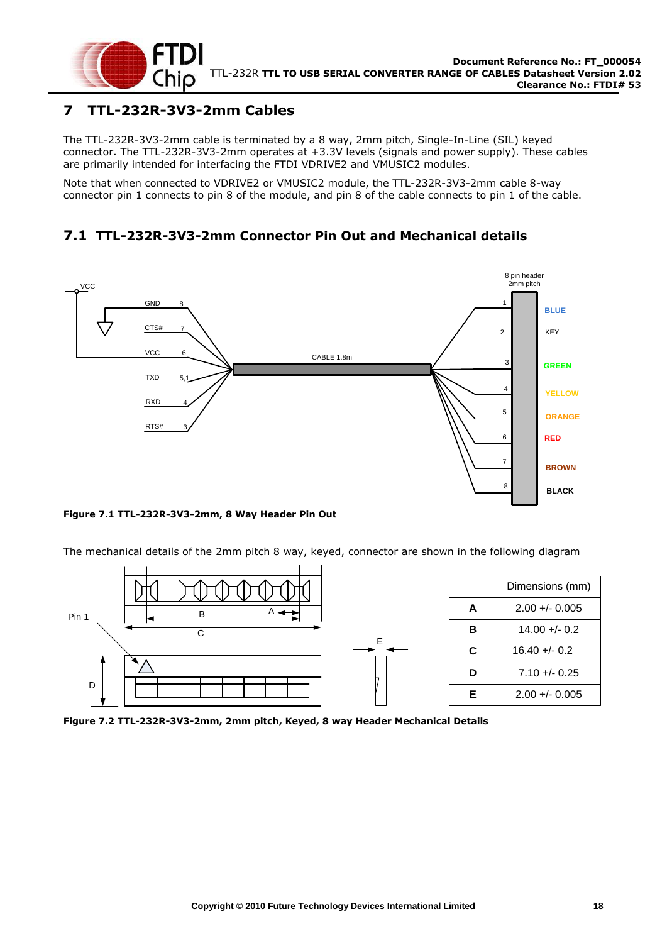

## <span id="page-18-0"></span>**7 TTL-232R-3V3-2mm Cables**

The TTL-232R-3V3-2mm cable is terminated by a 8 way, 2mm pitch, Single-In-Line (SIL) keyed connector. The TTL-232R-3V3-2mm operates at +3.3V levels (signals and power supply). These cables are primarily intended for interfacing the FTDI VDRIVE2 and VMUSIC2 modules.

Note that when connected to VDRIVE2 or VMUSIC2 module, the TTL-232R-3V3-2mm cable 8-way connector pin 1 connects to pin 8 of the module, and pin 8 of the cable connects to pin 1 of the cable.

## <span id="page-18-1"></span>**7.1 TTL-232R-3V3-2mm Connector Pin Out and Mechanical details**



<span id="page-18-2"></span>**Figure 7.1 TTL-232R-3V3-2mm, 8 Way Header Pin Out**

The mechanical details of the 2mm pitch 8 way, keyed, connector are shown in the following diagram



<span id="page-18-3"></span>**Figure 7.2 TTL**-**232R-3V3-2mm, 2mm pitch, Keyed, 8 way Header Mechanical Details**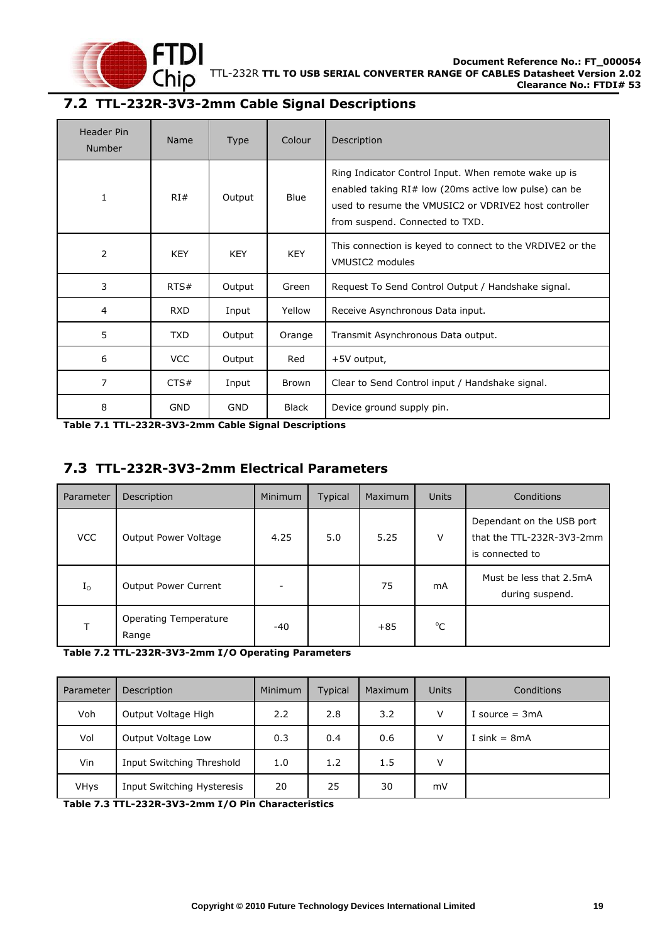

## <span id="page-19-0"></span>**7.2 TTL-232R-3V3-2mm Cable Signal Descriptions**

| Header Pin<br><b>Number</b> | Name       | <b>Type</b> | Colour       | Description                                                                                                                                                                                                 |
|-----------------------------|------------|-------------|--------------|-------------------------------------------------------------------------------------------------------------------------------------------------------------------------------------------------------------|
| 1                           | RI#        | Output      | <b>Blue</b>  | Ring Indicator Control Input. When remote wake up is<br>enabled taking $RI#$ low (20ms active low pulse) can be<br>used to resume the VMUSIC2 or VDRIVE2 host controller<br>from suspend. Connected to TXD. |
| 2                           | <b>KEY</b> | <b>KEY</b>  | <b>KEY</b>   | This connection is keyed to connect to the VRDIVE2 or the<br>VMUSIC2 modules                                                                                                                                |
| 3                           | RTS#       | Output      | Green        | Request To Send Control Output / Handshake signal.                                                                                                                                                          |
| 4                           | <b>RXD</b> | Input       | Yellow       | Receive Asynchronous Data input.                                                                                                                                                                            |
| 5                           | TXD        | Output      | Orange       | Transmit Asynchronous Data output.                                                                                                                                                                          |
| 6                           | <b>VCC</b> | Output      | Red          | +5V output,                                                                                                                                                                                                 |
| 7                           | CTS#       | Input       | <b>Brown</b> | Clear to Send Control input / Handshake signal.                                                                                                                                                             |
| 8                           | <b>GND</b> | <b>GND</b>  | Black        | Device ground supply pin.                                                                                                                                                                                   |

<span id="page-19-2"></span>**Table 7.1 TTL-232R-3V3-2mm Cable Signal Descriptions**

#### <span id="page-19-1"></span>**7.3 TTL-232R-3V3-2mm Electrical Parameters**

| Parameter   | Description                           | Minimum | Typical | Maximum | <b>Units</b> | Conditions                                                                |
|-------------|---------------------------------------|---------|---------|---------|--------------|---------------------------------------------------------------------------|
| <b>VCC</b>  | Output Power Voltage                  | 4.25    | 5.0     | 5.25    | V            | Dependant on the USB port<br>that the TTL-232R-3V3-2mm<br>is connected to |
| $I_{\rm O}$ | <b>Output Power Current</b>           | -       |         | 75      | mA           | Must be less that 2.5mA<br>during suspend.                                |
|             | <b>Operating Temperature</b><br>Range | -40     |         | $+85$   | $^{\circ}$ C |                                                                           |

<span id="page-19-3"></span>**Table 7.2 TTL-232R-3V3-2mm I/O Operating Parameters**

| Parameter   | Description                | <b>Minimum</b> | Typical | <b>Maximum</b> | Units  | Conditions       |
|-------------|----------------------------|----------------|---------|----------------|--------|------------------|
| Voh         | Output Voltage High        | 2.2            | 2.8     | 3.2            | $\vee$ | I source $= 3mA$ |
| Vol         | Output Voltage Low         | 0.3            | 0.4     | 0.6            | v      | I sink = $8mA$   |
| Vin         | Input Switching Threshold  | 1.0            | 1.2     | 1.5            | v      |                  |
| <b>VHys</b> | Input Switching Hysteresis | 20             | 25      | 30             | mV     |                  |

<span id="page-19-4"></span>**Table 7.3 TTL-232R-3V3-2mm I/O Pin Characteristics**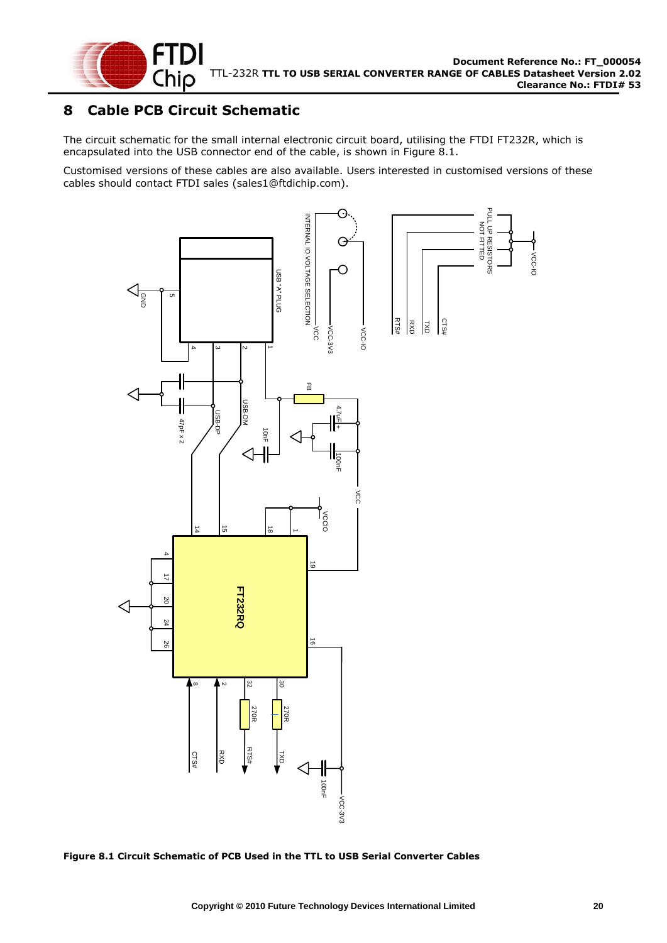

## <span id="page-20-0"></span>**8 Cable PCB Circuit Schematic**

The circuit schematic for the small internal electronic circuit board, utilising the FTDI FT232R, which is encapsulated into the USB connector end of the cable, is shown in [Figure 8.1.](#page-20-1)

Customised versions of these cables are also available. Users interested in customised versions of these cables should contact FTDI sales [\(sales1@ftdichip.com\).](mailto:sales1@ftdichip.com)



<span id="page-20-1"></span>**Figure 8.1 Circuit Schematic of PCB Used in the TTL to USB Serial Converter Cables**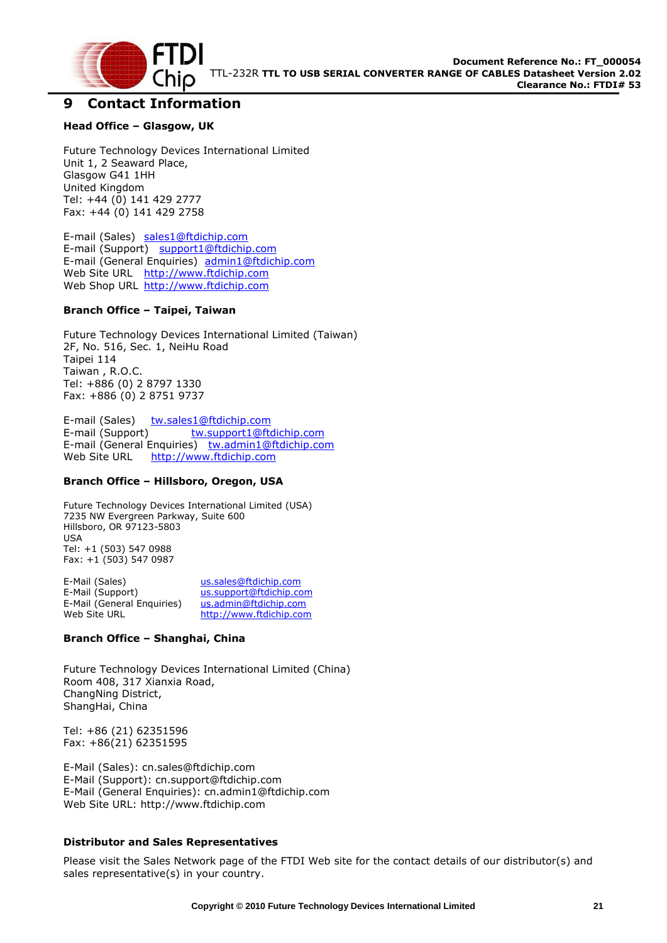

#### <span id="page-21-0"></span>**9 Contact Information**

#### **Head Office – Glasgow, UK**

Future Technology Devices International Limited Unit 1, 2 Seaward Place, Glasgow G41 1HH United Kingdom Tel: +44 (0) 141 429 2777 Fax: +44 (0) 141 429 2758

E-mail (Sales) [sales1@ftdichip.com](mailto:sales@ftdichip.com) E-mail (Support) [support1@ftdichip.com](mailto:support@ftdichip.com) E-mail (General Enquiries) [admin1@ftdichip.com](mailto:admin1@ftdichip.com) Web Site URL [http://www.ftdichip.com](http://www.ftdichip.com/) Web Shop URL [http://www.ftdichip.com](http://www.ftdichip.com/)

#### **Branch Office – Taipei, Taiwan**

Future Technology Devices International Limited (Taiwan) 2F, No. 516, Sec. 1, NeiHu Road Taipei 114 Taiwan , R.O.C. Tel: +886 (0) 2 8797 1330 Fax: +886 (0) 2 8751 9737

E-mail (Sales) [tw.sales1@ftdichip.com](mailto:tw.sales1@ftdichip.com) E-mail (Support) [tw.support1@ftdichip.com](mailto:tw.support1@ftdichip.com) E-mail (General Enquiries) [tw.admin1@ftdichip.com](mailto:tw.admin1@ftdichip.com) Web Site URL [http://www.ftdichip.com](http://www.ftdichip.com/)

#### **Branch Office – Hillsboro, Oregon, USA**

Future Technology Devices International Limited (USA) 7235 NW Evergreen Parkway, Suite 600 Hillsboro, OR 97123-5803 USA Tel: +1 (503) 547 0988 Fax: +1 (503) 547 0987

E-Mail (Sales) [us.sales@ftdichip.com](mailto:us.sales@ftdichip.com) E-Mail (Support) [us.support@ftdichip.com](mailto:us.support@ftdichip.com) E-Mail (General Enquiries) [us.admin@ftdichip.com](mailto:us.admin@ftdichip.com) Web Site URL [http://www.ftdichip.com](http://www.ftdichip.com/)

#### **Branch Office – Shanghai, China**

Future Technology Devices International Limited (China) Room 408, 317 Xianxia Road, ChangNing District, ShangHai, China

Tel: +86 [\(21\) 6](LiveCall:(503)547-0988)2351596 Fax: +8[6\(21\) 6](LiveCall:(503)547-0987)2351595

E-Mail (Sales): [cn.sales@ftdichip.com](mailto:cn.sales@ftdichip.com) E-Mail (Support): c[n.support@ftdichip.](mailto:.support@ftdichip)com E-Mail (General Enquiries): cn[.admin1@ftdichip.com](mailto:admin1@ftdichip.com) Web Site URL: [http://www.ftdichip.com](http://www.ftdichip.com/)

#### **Distributor and Sales Representatives**

Please visit the Sales Network page of the FTDI Web site for the contact details of our distributor(s) and sales representative(s) in your country.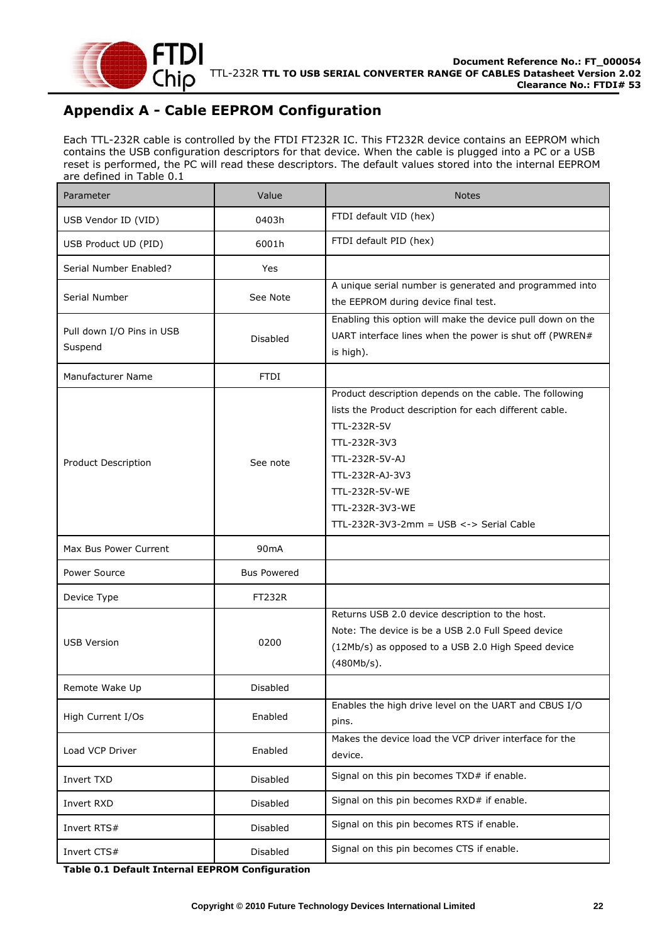

## <span id="page-22-0"></span>**Appendix A - Cable EEPROM Configuration**

Each TTL-232R cable is controlled by the FTDI FT232R IC. This FT232R device contains an EEPROM which contains the USB configuration descriptors for that device. When the cable is plugged into a PC or a USB reset is performed, the PC will read these descriptors. The default values stored into the internal EEPROM are defined in [Table 0.1](#page-22-1)

| Parameter                            | Value              | <b>Notes</b>                                                                                                                                                                                                                                                                |
|--------------------------------------|--------------------|-----------------------------------------------------------------------------------------------------------------------------------------------------------------------------------------------------------------------------------------------------------------------------|
| USB Vendor ID (VID)                  | 0403h              | FTDI default VID (hex)                                                                                                                                                                                                                                                      |
| USB Product UD (PID)                 | 6001h              | FTDI default PID (hex)                                                                                                                                                                                                                                                      |
| Serial Number Enabled?               | Yes                |                                                                                                                                                                                                                                                                             |
| Serial Number                        | See Note           | A unique serial number is generated and programmed into<br>the EEPROM during device final test.                                                                                                                                                                             |
| Pull down I/O Pins in USB<br>Suspend | <b>Disabled</b>    | Enabling this option will make the device pull down on the<br>UART interface lines when the power is shut off (PWREN#<br>is high).                                                                                                                                          |
| Manufacturer Name                    | <b>FTDI</b>        |                                                                                                                                                                                                                                                                             |
| <b>Product Description</b>           | See note           | Product description depends on the cable. The following<br>lists the Product description for each different cable.<br>TTL-232R-5V<br>TTL-232R-3V3<br>TTL-232R-5V-AJ<br>TTL-232R-AJ-3V3<br>TTL-232R-5V-WE<br>TTL-232R-3V3-WE<br>TTL-232R-3V3-2mm = $USB \leq S$ Serial Cable |
| Max Bus Power Current                | 90 <sub>m</sub> A  |                                                                                                                                                                                                                                                                             |
| Power Source                         | <b>Bus Powered</b> |                                                                                                                                                                                                                                                                             |
| Device Type                          | <b>FT232R</b>      |                                                                                                                                                                                                                                                                             |
| <b>USB Version</b>                   | 0200               | Returns USB 2.0 device description to the host.<br>Note: The device is be a USB 2.0 Full Speed device<br>(12Mb/s) as opposed to a USB 2.0 High Speed device<br>(480Mb/s).                                                                                                   |
| Remote Wake Up                       | Disabled           |                                                                                                                                                                                                                                                                             |
| High Current I/Os                    | Enabled            | Enables the high drive level on the UART and CBUS I/O<br>pins.                                                                                                                                                                                                              |
| Load VCP Driver                      | Enabled            | Makes the device load the VCP driver interface for the<br>device.                                                                                                                                                                                                           |
| Invert TXD                           | <b>Disabled</b>    | Signal on this pin becomes TXD# if enable.                                                                                                                                                                                                                                  |
| Invert RXD                           | <b>Disabled</b>    | Signal on this pin becomes RXD# if enable.                                                                                                                                                                                                                                  |
| Invert RTS#                          | <b>Disabled</b>    | Signal on this pin becomes RTS if enable.                                                                                                                                                                                                                                   |
| Invert CTS#                          | Disabled           | Signal on this pin becomes CTS if enable.                                                                                                                                                                                                                                   |

<span id="page-22-1"></span>**Table 0.1 Default Internal EEPROM Configuration**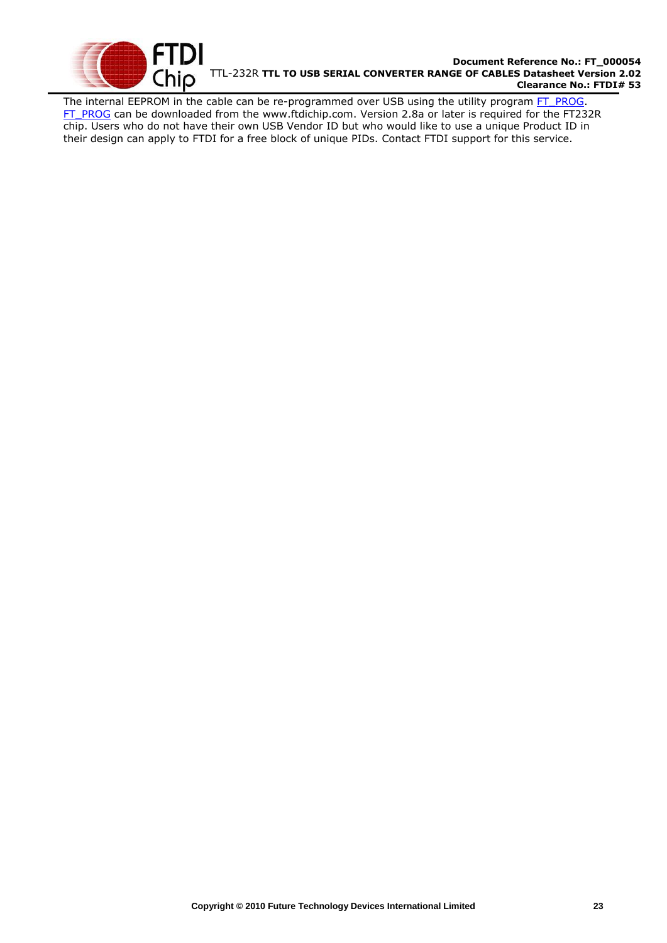

#### **Document Reference No.: FT\_000054** TTL-232R **TTL TO USB SERIAL CONVERTER RANGE OF CABLES Datasheet Version 2.02 Clearance No.: FTDI# 53**

The internal EEPROM in the cable can be re-programmed over USB using the utility program [FT\\_PROG.](http://www.ftdichip.com/Support/Utilities/FT_Prog_v1.9.zip) [FT\\_PROG](http://www.ftdichip.com/Support/Utilities/FT_Prog_v1.9.zip) can be downloaded from the [www.ftdichip.com.](file://glaspssv1/General/Engineering/Engineering%20_Documents/DS_TTL-232R/DS_TTL-232R_V200/www.ftdichip.com) Version 2.8a or later is required for the FT232R chip. Users who do not have their own USB Vendor ID but who would like to use a unique Product ID in their design can apply to FTDI for a free block of unique PIDs. Contact FTDI support for this service.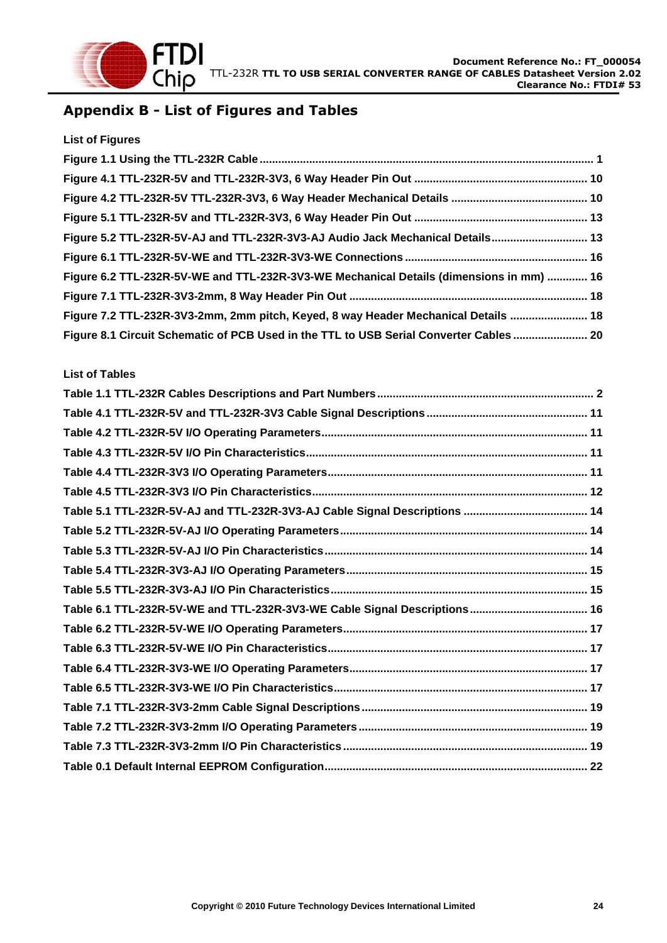

## <span id="page-24-0"></span>**Appendix B - List of Figures and Tables**

| <b>List of Figures</b>                                                                  |  |
|-----------------------------------------------------------------------------------------|--|
|                                                                                         |  |
|                                                                                         |  |
|                                                                                         |  |
|                                                                                         |  |
| Figure 5.2 TTL-232R-5V-AJ and TTL-232R-3V3-AJ Audio Jack Mechanical Details 13          |  |
|                                                                                         |  |
| Figure 6.2 TTL-232R-5V-WE and TTL-232R-3V3-WE Mechanical Details (dimensions in mm)  16 |  |
|                                                                                         |  |
| Figure 7.2 TTL-232R-3V3-2mm, 2mm pitch, Keyed, 8 way Header Mechanical Details  18      |  |
| Figure 8.1 Circuit Schematic of PCB Used in the TTL to USB Serial Converter Cables  20  |  |

#### **List of Tables**